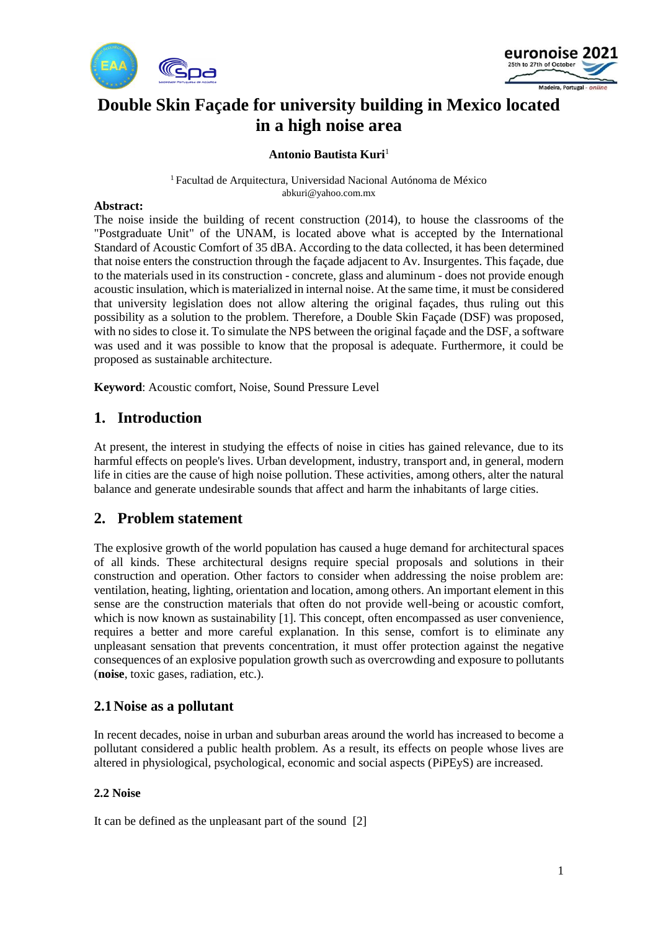



# **Double Skin Façade for university building in Mexico located in a high noise area**

## **Antonio Bautista Kuri**<sup>1</sup>

 $1$ Facultad de Arquitectura, Universidad Nacional Autónoma de México abkuri@yahoo.com.mx

#### **Abstract:**

The noise inside the building of recent construction (2014), to house the classrooms of the "Postgraduate Unit" of the UNAM, is located above what is accepted by the International Standard of Acoustic Comfort of 35 dBA. According to the data collected, it has been determined that noise enters the construction through the façade adjacent to Av. Insurgentes. This façade, due to the materials used in its construction - concrete, glass and aluminum - does not provide enough acoustic insulation, which is materialized in internal noise. At the same time, it must be considered that university legislation does not allow altering the original façades, thus ruling out this possibility as a solution to the problem. Therefore, a Double Skin Façade (DSF) was proposed, with no sides to close it. To simulate the NPS between the original façade and the DSF, a software was used and it was possible to know that the proposal is adequate. Furthermore, it could be proposed as sustainable architecture.

**Keyword**: Acoustic comfort, Noise, Sound Pressure Level

## **1. Introduction**

At present, the interest in studying the effects of noise in cities has gained relevance, due to its harmful effects on people's lives. Urban development, industry, transport and, in general, modern life in cities are the cause of high noise pollution. These activities, among others, alter the natural balance and generate undesirable sounds that affect and harm the inhabitants of large cities.

## **2. Problem statement**

The explosive growth of the world population has caused a huge demand for architectural spaces of all kinds. These architectural designs require special proposals and solutions in their construction and operation. Other factors to consider when addressing the noise problem are: ventilation, heating, lighting, orientation and location, among others. An important element in this sense are the construction materials that often do not provide well-being or acoustic comfort, which is now known as sustainability [1]. This concept, often encompassed as user convenience, requires a better and more careful explanation. In this sense, comfort is to eliminate any unpleasant sensation that prevents concentration, it must offer protection against the negative consequences of an explosive population growth such as overcrowding and exposure to pollutants (**noise**, toxic gases, radiation, etc.).

## **2.1Noise as a pollutant**

In recent decades, noise in urban and suburban areas around the world has increased to become a pollutant considered a public health problem. As a result, its effects on people whose lives are altered in physiological, psychological, economic and social aspects (PiPEyS) are increased.

#### **2.2 Noise**

It can be defined as the unpleasant part of the sound [2]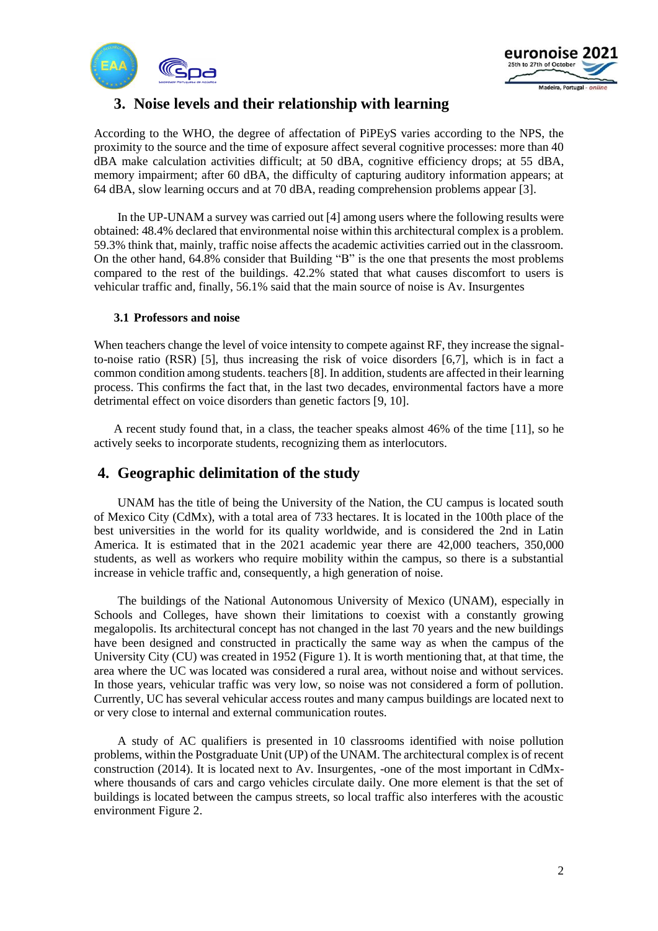



# **3. Noise levels and their relationship with learning**

According to the WHO, the degree of affectation of PiPEyS varies according to the NPS, the proximity to the source and the time of exposure affect several cognitive processes: more than 40 dBA make calculation activities difficult; at 50 dBA, cognitive efficiency drops; at 55 dBA, memory impairment; after 60 dBA, the difficulty of capturing auditory information appears; at 64 dBA, slow learning occurs and at 70 dBA, reading comprehension problems appear [3].

In the UP-UNAM a survey was carried out [4] among users where the following results were obtained: 48.4% declared that environmental noise within this architectural complex is a problem. 59.3% think that, mainly, traffic noise affects the academic activities carried out in the classroom. On the other hand, 64.8% consider that Building "B" is the one that presents the most problems compared to the rest of the buildings. 42.2% stated that what causes discomfort to users is vehicular traffic and, finally, 56.1% said that the main source of noise is Av. Insurgentes

## **3.1 Professors and noise**

When teachers change the level of voice intensity to compete against RF, they increase the signalto-noise ratio (RSR) [5], thus increasing the risk of voice disorders [6,7], which is in fact a common condition among students. teachers [8]. In addition, students are affected in their learning process. This confirms the fact that, in the last two decades, environmental factors have a more detrimental effect on voice disorders than genetic factors [9, 10].

A recent study found that, in a class, the teacher speaks almost 46% of the time [11], so he actively seeks to incorporate students, recognizing them as interlocutors.

# **4. Geographic delimitation of the study**

UNAM has the title of being the University of the Nation, the CU campus is located south of Mexico City (CdMx), with a total area of 733 hectares. It is located in the 100th place of the best universities in the world for its quality worldwide, and is considered the 2nd in Latin America. It is estimated that in the 2021 academic year there are 42,000 teachers, 350,000 students, as well as workers who require mobility within the campus, so there is a substantial increase in vehicle traffic and, consequently, a high generation of noise.

The buildings of the National Autonomous University of Mexico (UNAM), especially in Schools and Colleges, have shown their limitations to coexist with a constantly growing megalopolis. Its architectural concept has not changed in the last 70 years and the new buildings have been designed and constructed in practically the same way as when the campus of the University City (CU) was created in 1952 (Figure 1). It is worth mentioning that, at that time, the area where the UC was located was considered a rural area, without noise and without services. In those years, vehicular traffic was very low, so noise was not considered a form of pollution. Currently, UC has several vehicular access routes and many campus buildings are located next to or very close to internal and external communication routes.

A study of AC qualifiers is presented in 10 classrooms identified with noise pollution problems, within the Postgraduate Unit (UP) of the UNAM. The architectural complex is of recent construction (2014). It is located next to Av. Insurgentes, -one of the most important in CdMxwhere thousands of cars and cargo vehicles circulate daily. One more element is that the set of buildings is located between the campus streets, so local traffic also interferes with the acoustic environment Figure 2.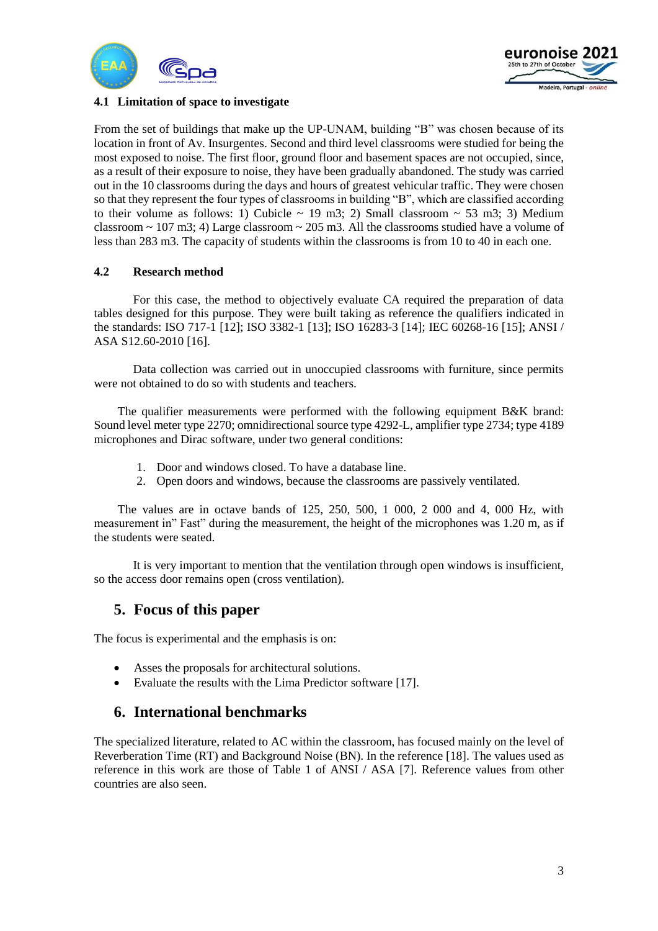



## **4.1 Limitation of space to investigate**

From the set of buildings that make up the UP-UNAM, building "B" was chosen because of its location in front of Av. Insurgentes. Second and third level classrooms were studied for being the most exposed to noise. The first floor, ground floor and basement spaces are not occupied, since, as a result of their exposure to noise, they have been gradually abandoned. The study was carried out in the 10 classrooms during the days and hours of greatest vehicular traffic. They were chosen so that they represent the four types of classrooms in building "B", which are classified according to their volume as follows: 1) Cubicle  $\sim$  19 m3; 2) Small classroom  $\sim$  53 m3; 3) Medium classroom  $\sim 107$  m3; 4) Large classroom  $\sim 205$  m3. All the classrooms studied have a volume of less than 283 m3. The capacity of students within the classrooms is from 10 to 40 in each one.

## **4.2 Research method**

For this case, the method to objectively evaluate CA required the preparation of data tables designed for this purpose. They were built taking as reference the qualifiers indicated in the standards: ISO 717-1 [12]; ISO 3382-1 [13]; ISO 16283-3 [14]; IEC 60268-16 [15]; ANSI / ASA S12.60-2010 [16].

Data collection was carried out in unoccupied classrooms with furniture, since permits were not obtained to do so with students and teachers.

The qualifier measurements were performed with the following equipment B&K brand: Sound level meter type 2270; omnidirectional source type 4292-L, amplifier type 2734; type 4189 microphones and Dirac software, under two general conditions:

- 1. Door and windows closed. To have a database line.
- 2. Open doors and windows, because the classrooms are passively ventilated.

The values are in octave bands of 125, 250, 500, 1 000, 2 000 and 4, 000 Hz, with measurement in" Fast" during the measurement, the height of the microphones was 1.20 m, as if the students were seated.

It is very important to mention that the ventilation through open windows is insufficient, so the access door remains open (cross ventilation).

# **5. Focus of this paper**

The focus is experimental and the emphasis is on:

- Asses the proposals for architectural solutions.
- Evaluate the results with the Lima Predictor software [17].

## **6. International benchmarks**

The specialized literature, related to AC within the classroom, has focused mainly on the level of Reverberation Time (RT) and Background Noise (BN). In the reference [18]. The values used as reference in this work are those of Table 1 of ANSI / ASA [7]. Reference values from other countries are also seen.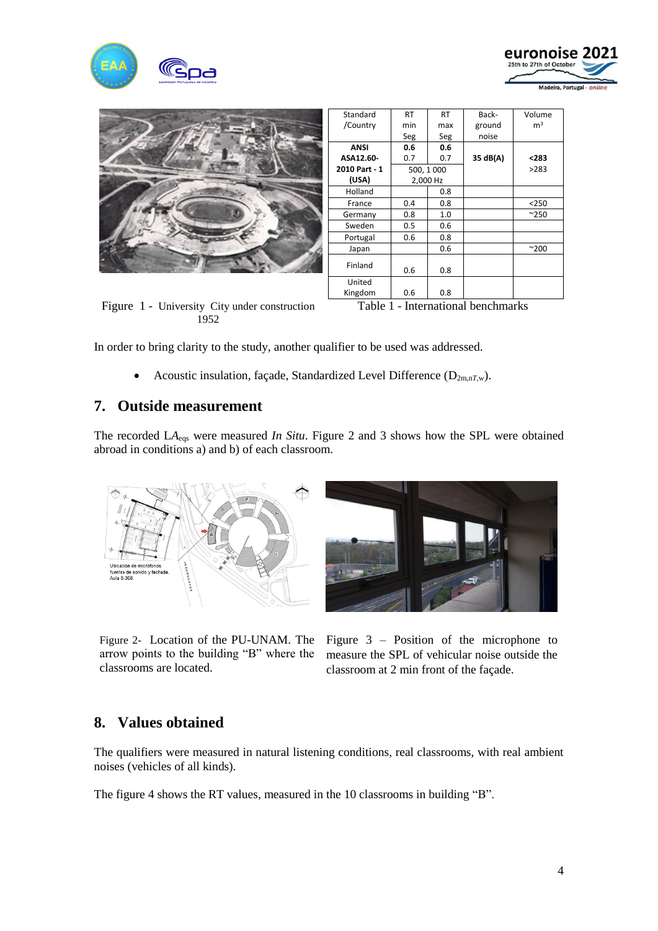





| Standard          | <b>RT</b> | <b>RT</b>  | Back-    | Volume         |  |
|-------------------|-----------|------------|----------|----------------|--|
| /Country          | min       | max        | ground   | m <sup>3</sup> |  |
|                   | Seg       | Seg        | noise    |                |  |
| ANSI              | 0.6       | 0.6        |          |                |  |
| ASA12.60-         | 0.7       | 0.7        | 35 dB(A) | $283$          |  |
| 2010 Part - 1     |           | 500, 1 000 |          | >283           |  |
| (USA)             |           | 2,000 Hz   |          |                |  |
| Holland           |           | 0.8        |          |                |  |
| France            | 0.4       | 0.8        |          | $250$          |  |
| Germany           | 0.8       | 1.0        |          | $^{\sim}$ 250  |  |
| Sweden            | 0.5       | 0.6        |          |                |  |
| Portugal          | 0.6       | 0.8        |          |                |  |
| Japan             |           | 0.6        |          | $^{\sim}$ 200  |  |
| Finland           | 0.6       | 0.8        |          |                |  |
| United<br>Kingdom | 0.6       | 0.8        |          |                |  |

Figure 1 - University City under construction 1952

Table 1 - International benchmarks

In order to bring clarity to the study, another qualifier to be used was addressed.

• Acoustic insulation, façade, Standardized Level Difference  $(D_{2m,nT,w})$ .

# **7. Outside measurement**

The recorded L*A*eqs were measured *In Situ*. Figure 2 and 3 shows how the SPL were obtained abroad in conditions a) and b) of each classroom.



arrow points to the building "B" where the classrooms are located.

Figure 2- Location of the PU-UNAM. The Figure 3 – Position of the microphone to measure the SPL of vehicular noise outside the classroom at 2 min front of the façade.

# **8. Values obtained**

The qualifiers were measured in natural listening conditions, real classrooms, with real ambient noises (vehicles of all kinds).

The figure 4 shows the RT values, measured in the 10 classrooms in building "B".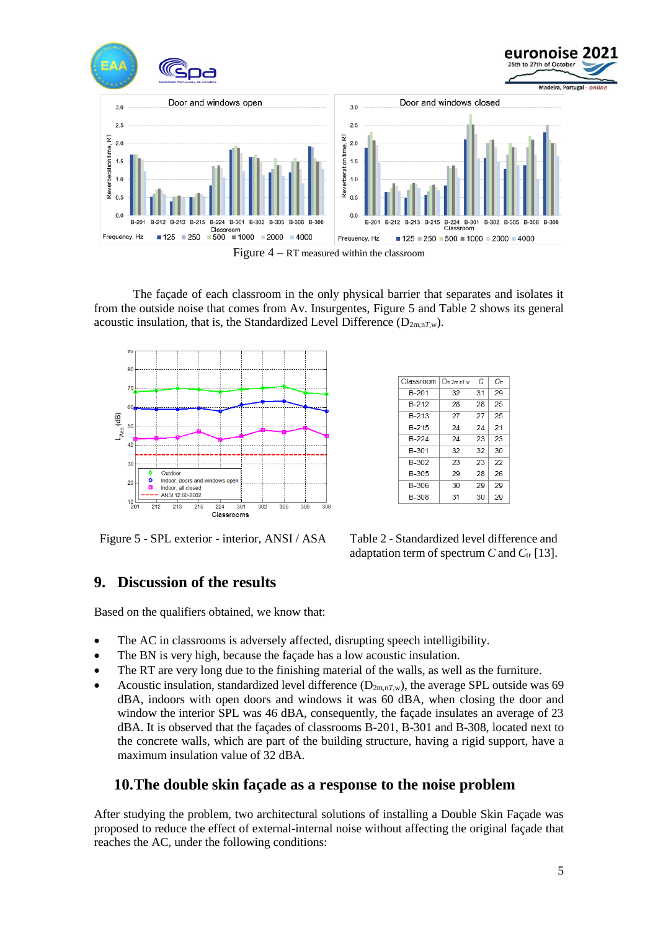

The façade of each classroom in the only physical barrier that separates and isolates it from the outside noise that comes from Av. Insurgentes, Figure 5 and Table 2 shows its general acoustic insulation, that is, the Standardized Level Difference  $(D_{2m,nT,w})$ .



Figure 5 - SPL exterior - interior, ANSI / ASA Table 2 - Standardized level difference and

| Classroom | $D$ tr,2m,nT,w | C  | С÷ |
|-----------|----------------|----|----|
| B-201     | 32             | 31 | 29 |
| B-212     | 28             | 28 | 25 |
| B-213     | 27             | 27 | 25 |
| B-215     | 24             | 24 | 21 |
| B-224     | 24             | 23 | 23 |
| B-301     | 32             | 32 | 30 |
| B-302     | 23             | 23 | 22 |
| B-305     | 29             | 28 | 26 |
| B-306     | 30             | 29 | 29 |
| B-308     | 31             | 30 | 29 |

adaptation term of spectrum *C* and  $C_{tr}$  [13].

# **9. Discussion of the results**

Based on the qualifiers obtained, we know that:

- The AC in classrooms is adversely affected, disrupting speech intelligibility.
- The BN is very high, because the façade has a low acoustic insulation.
- The RT are very long due to the finishing material of the walls, as well as the furniture.
- Acoustic insulation, standardized level difference  $(D_{2m,nT,w})$ , the average SPL outside was 69 dBA, indoors with open doors and windows it was 60 dBA, when closing the door and window the interior SPL was 46 dBA, consequently, the facade insulates an average of 23 dBA. It is observed that the façades of classrooms B-201, B-301 and B-308, located next to the concrete walls, which are part of the building structure, having a rigid support, have a maximum insulation value of 32 dBA.

# **10.The double skin façade as a response to the noise problem**

After studying the problem, two architectural solutions of installing a Double Skin Façade was proposed to reduce the effect of external-internal noise without affecting the original façade that reaches the AC, under the following conditions: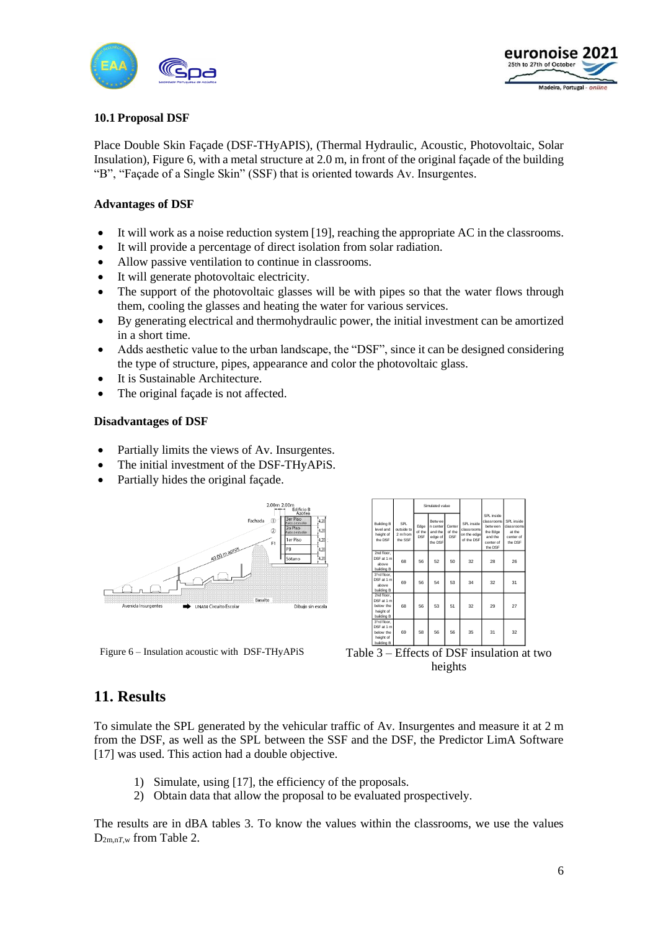



## **10.1 Proposal DSF**

Place Double Skin Façade (DSF-THyAPIS), (Thermal Hydraulic, Acoustic, Photovoltaic, Solar Insulation), Figure 6, with a metal structure at 2.0 m, in front of the original façade of the building "B", "Façade of a Single Skin" (SSF) that is oriented towards Av. Insurgentes.

## **Advantages of DSF**

- It will work as a noise reduction system [19], reaching the appropriate AC in the classrooms.
- It will provide a percentage of direct isolation from solar radiation.
- Allow passive ventilation to continue in classrooms.
- It will generate photovoltaic electricity.
- The support of the photovoltaic glasses will be with pipes so that the water flows through them, cooling the glasses and heating the water for various services.
- By generating electrical and thermohydraulic power, the initial investment can be amortized in a short time.
- Adds aesthetic value to the urban landscape, the "DSF", since it can be designed considering the type of structure, pipes, appearance and color the photovoltaic glass.
- It is Sustainable Architecture.
- The original façade is not affected.

## **Disadvantages of DSF**

- Partially limits the views of Av. Insurgentes.
- The initial investment of the DSF-THyAPiS.
- Partially hides the original façade.



Figure 6 – Insulation acoustic with DSF-THyAPiS  $Table 3$  – Effects of DSF insulation at two

|                                                                   |                                           |                              | Simulated value                                     |                         |                                                       |                                                                                    |                                                            |
|-------------------------------------------------------------------|-------------------------------------------|------------------------------|-----------------------------------------------------|-------------------------|-------------------------------------------------------|------------------------------------------------------------------------------------|------------------------------------------------------------|
| <b>Building B</b><br>level and<br>height of<br>the DSF            | SPL<br>outside to<br>$2m$ from<br>the SSF | Edge<br>of the<br><b>DSF</b> | Betwee<br>n center<br>and the<br>edge of<br>the DSF | Center<br>of the<br>DSF | SPL inside<br>classrooms<br>on the edge<br>of the DSF | SPL inside<br>classrooms<br>hetween<br>the Edge<br>and the<br>center of<br>the DSF | SPL inside<br>classrooms<br>at the<br>center of<br>the DSF |
| 2nd floor,<br>DSF at 1 m<br>above<br>building B                   | 68                                        | 56                           | 52                                                  | 50                      | 32                                                    | 28                                                                                 | 26                                                         |
| 3°rd floor.<br>DSF at 1 m<br>above<br>building B                  | 69                                        | 56                           | 54                                                  | 53                      | 34                                                    | 32                                                                                 | 31                                                         |
| 2nd floor.<br>DSF at 1 m<br>below the<br>height of<br>building B  | 68                                        | 56                           | 53                                                  | 51                      | 32                                                    | 29                                                                                 | 27                                                         |
| 3°rd floor.<br>DSF at 1 m<br>below the<br>height of<br>building B | 69                                        | 58                           | 56                                                  | 56                      | 35                                                    | 31                                                                                 | 32                                                         |

heights

# **11. Results**

To simulate the SPL generated by the vehicular traffic of Av. Insurgentes and measure it at 2 m from the DSF, as well as the SPL between the SSF and the DSF, the Predictor LimA Software [17] was used. This action had a double objective.

- 1) Simulate, using [17], the efficiency of the proposals.
- 2) Obtain data that allow the proposal to be evaluated prospectively.

The results are in dBA tables 3. To know the values within the classrooms, we use the values D2m,n*T*,w from Table 2.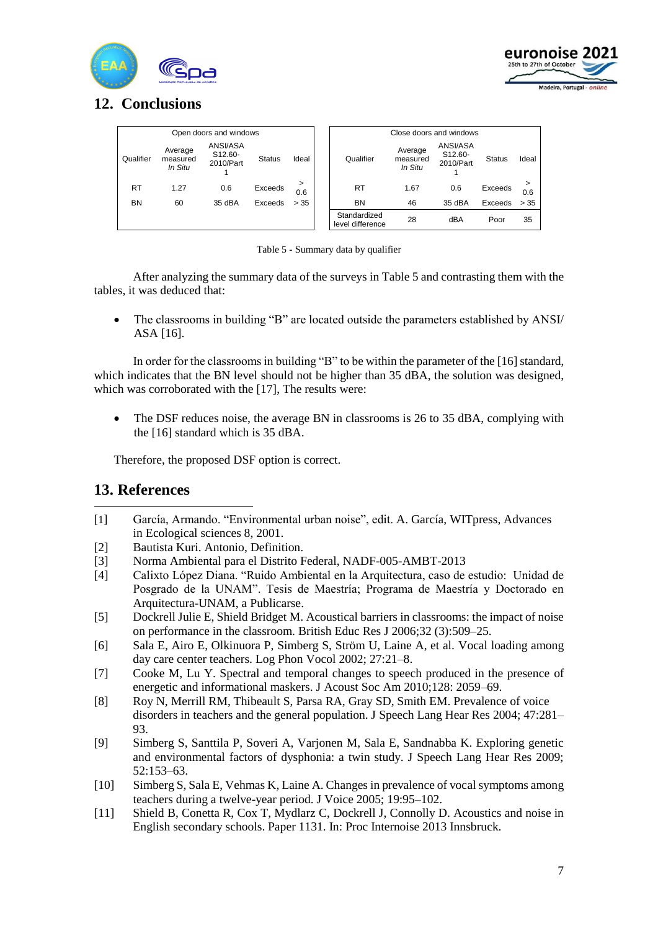



# **12. Conclusions**

| Open doors and windows |                                |                                  | Close doors and windows |          |                                  |                                |                                  |                |       |
|------------------------|--------------------------------|----------------------------------|-------------------------|----------|----------------------------------|--------------------------------|----------------------------------|----------------|-------|
| Qualifier              | Average<br>measured<br>In Situ | ANSI/ASA<br>S12.60-<br>2010/Part | <b>Status</b>           | Ideal    | Qualifier                        | Average<br>measured<br>In Situ | ANSI/ASA<br>S12.60-<br>2010/Part | <b>Status</b>  | Ideal |
| <b>RT</b>              | 1.27                           | 0.6                              | <b>Exceeds</b>          | ><br>0.6 | <b>RT</b>                        | 1.67                           | 0.6                              | <b>Exceeds</b> | 0.6   |
| BN                     | 60                             | 35 dBA                           | Exceeds                 | > 35     | <b>BN</b>                        | 46                             | 35 dBA                           | Exceeds        | > 35  |
|                        |                                |                                  |                         |          | Standardized<br>level difference | 28                             | dBA                              | Poor           | 35    |



After analyzing the summary data of the surveys in Table 5 and contrasting them with the tables, it was deduced that:

 The classrooms in building "B" are located outside the parameters established by ANSI/ ASA [16].

In order for the classrooms in building "B" to be within the parameter of the [16] standard, which indicates that the BN level should not be higher than 35 dBA, the solution was designed, which was corroborated with the [17], The results were:

• The DSF reduces noise, the average BN in classrooms is 26 to 35 dBA, complying with the [16] standard which is 35 dBA.

Therefore, the proposed DSF option is correct.

# **13. References**

1

- [1] García, Armando. "Environmental urban noise", edit. A. García, WITpress, Advances in Ecological sciences 8, 2001.
- [2] Bautista Kuri. Antonio, Definition.
- [3] Norma Ambiental para el Distrito Federal, NADF-005-AMBT-2013
- [4] Calixto López Diana. "Ruido Ambiental en la Arquitectura, caso de estudio: Unidad de Posgrado de la UNAM". Tesis de Maestría; Programa de Maestría y Doctorado en Arquitectura-UNAM, a Publicarse.
- [5] Dockrell Julie E, Shield Bridget M. Acoustical barriers in classrooms: the impact of noise on performance in the classroom. British Educ Res J 2006;32 (3):509–25.
- [6] Sala E, Airo E, Olkinuora P, Simberg S, Ström U, Laine A, et al. Vocal loading among day care center teachers. Log Phon Vocol 2002; 27:21–8.
- [7] Cooke M, Lu Y. Spectral and temporal changes to speech produced in the presence of energetic and informational maskers. J Acoust Soc Am 2010;128: 2059–69.
- [8] Roy N, Merrill RM, Thibeault S, Parsa RA, Gray SD, Smith EM. Prevalence of voice disorders in teachers and the general population. J Speech Lang Hear Res 2004; 47:281– 93.
- [9] Simberg S, Santtila P, Soveri A, Varjonen M, Sala E, Sandnabba K. Exploring genetic and environmental factors of dysphonia: a twin study. J Speech Lang Hear Res 2009; 52:153–63.
- [10] Simberg S, Sala E, Vehmas K, Laine A. Changes in prevalence of vocal symptoms among teachers during a twelve-year period. J Voice 2005; 19:95–102.
- [11] Shield B, Conetta R, Cox T, Mydlarz C, Dockrell J, Connolly D. Acoustics and noise in English secondary schools. Paper 1131. In: Proc Internoise 2013 Innsbruck.